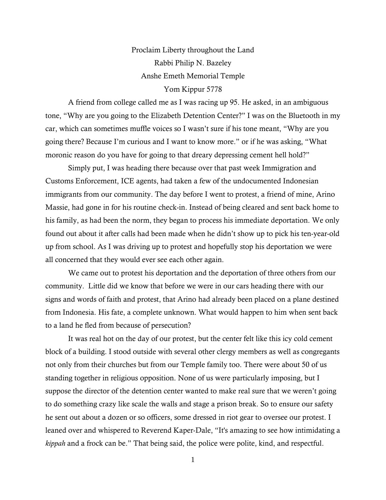## Proclaim Liberty throughout the Land Rabbi Philip N. Bazeley Anshe Emeth Memorial Temple Yom Kippur 5778

A friend from college called me as I was racing up 95. He asked, in an ambiguous tone, "Why are you going to the Elizabeth Detention Center?" I was on the Bluetooth in my car, which can sometimes muffle voices so I wasn't sure if his tone meant, "Why are you going there? Because I'm curious and I want to know more." or if he was asking, "What moronic reason do you have for going to that dreary depressing cement hell hold?"

Simply put, I was heading there because over that past week Immigration and Customs Enforcement, ICE agents, had taken a few of the undocumented Indonesian immigrants from our community. The day before I went to protest, a friend of mine, Arino Massie, had gone in for his routine check-in. Instead of being cleared and sent back home to his family, as had been the norm, they began to process his immediate deportation. We only found out about it after calls had been made when he didn't show up to pick his ten-year-old up from school. As I was driving up to protest and hopefully stop his deportation we were all concerned that they would ever see each other again.

We came out to protest his deportation and the deportation of three others from our community. Little did we know that before we were in our cars heading there with our signs and words of faith and protest, that Arino had already been placed on a plane destined from Indonesia. His fate, a complete unknown. What would happen to him when sent back to a land he fled from because of persecution?

It was real hot on the day of our protest, but the center felt like this icy cold cement block of a building. I stood outside with several other clergy members as well as congregants not only from their churches but from our Temple family too. There were about 50 of us standing together in religious opposition. None of us were particularly imposing, but I suppose the director of the detention center wanted to make real sure that we weren't going to do something crazy like scale the walls and stage a prison break. So to ensure our safety he sent out about a dozen or so officers, some dressed in riot gear to oversee our protest. I leaned over and whispered to Reverend Kaper-Dale, "It's amazing to see how intimidating a *kippah* and a frock can be." That being said, the police were polite, kind, and respectful.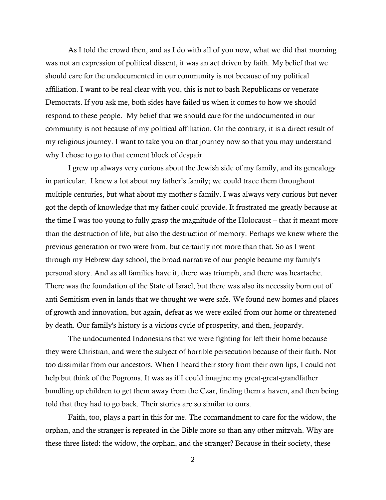As I told the crowd then, and as I do with all of you now, what we did that morning was not an expression of political dissent, it was an act driven by faith. My belief that we should care for the undocumented in our community is not because of my political affiliation. I want to be real clear with you, this is not to bash Republicans or venerate Democrats. If you ask me, both sides have failed us when it comes to how we should respond to these people. My belief that we should care for the undocumented in our community is not because of my political affiliation. On the contrary, it is a direct result of my religious journey. I want to take you on that journey now so that you may understand why I chose to go to that cement block of despair.

I grew up always very curious about the Jewish side of my family, and its genealogy in particular. I knew a lot about my father's family; we could trace them throughout multiple centuries, but what about my mother's family. I was always very curious but never got the depth of knowledge that my father could provide. It frustrated me greatly because at the time I was too young to fully grasp the magnitude of the Holocaust – that it meant more than the destruction of life, but also the destruction of memory. Perhaps we knew where the previous generation or two were from, but certainly not more than that. So as I went through my Hebrew day school, the broad narrative of our people became my family's personal story. And as all families have it, there was triumph, and there was heartache. There was the foundation of the State of Israel, but there was also its necessity born out of anti-Semitism even in lands that we thought we were safe. We found new homes and places of growth and innovation, but again, defeat as we were exiled from our home or threatened by death. Our family's history is a vicious cycle of prosperity, and then, jeopardy.

The undocumented Indonesians that we were fighting for left their home because they were Christian, and were the subject of horrible persecution because of their faith. Not too dissimilar from our ancestors. When I heard their story from their own lips, I could not help but think of the Pogroms. It was as if I could imagine my great-great-grandfather bundling up children to get them away from the Czar, finding them a haven, and then being told that they had to go back. Their stories are so similar to ours.

Faith, too, plays a part in this for me. The commandment to care for the widow, the orphan, and the stranger is repeated in the Bible more so than any other mitzvah. Why are these three listed: the widow, the orphan, and the stranger? Because in their society, these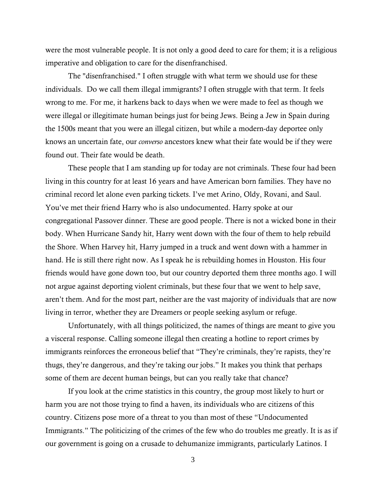were the most vulnerable people. It is not only a good deed to care for them; it is a religious imperative and obligation to care for the disenfranchised.

The "disenfranchised." I often struggle with what term we should use for these individuals. Do we call them illegal immigrants? I often struggle with that term. It feels wrong to me. For me, it harkens back to days when we were made to feel as though we were illegal or illegitimate human beings just for being Jews. Being a Jew in Spain during the 1500s meant that you were an illegal citizen, but while a modern-day deportee only knows an uncertain fate, our *converso* ancestors knew what their fate would be if they were found out. Their fate would be death.

These people that I am standing up for today are not criminals. These four had been living in this country for at least 16 years and have American born families. They have no criminal record let alone even parking tickets. I've met Arino, Oldy, Rovani, and Saul. You've met their friend Harry who is also undocumented. Harry spoke at our congregational Passover dinner. These are good people. There is not a wicked bone in their body. When Hurricane Sandy hit, Harry went down with the four of them to help rebuild the Shore. When Harvey hit, Harry jumped in a truck and went down with a hammer in hand. He is still there right now. As I speak he is rebuilding homes in Houston. His four friends would have gone down too, but our country deported them three months ago. I will not argue against deporting violent criminals, but these four that we went to help save, aren't them. And for the most part, neither are the vast majority of individuals that are now living in terror, whether they are Dreamers or people seeking asylum or refuge.

Unfortunately, with all things politicized, the names of things are meant to give you a visceral response. Calling someone illegal then creating a hotline to report crimes by immigrants reinforces the erroneous belief that "They're criminals, they're rapists, they're thugs, they're dangerous, and they're taking our jobs." It makes you think that perhaps some of them are decent human beings, but can you really take that chance?

If you look at the crime statistics in this country, the group most likely to hurt or harm you are not those trying to find a haven, its individuals who are citizens of this country. Citizens pose more of a threat to you than most of these "Undocumented Immigrants." The politicizing of the crimes of the few who do troubles me greatly. It is as if our government is going on a crusade to dehumanize immigrants, particularly Latinos. I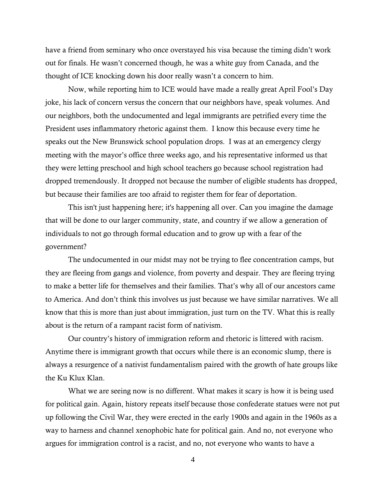have a friend from seminary who once overstayed his visa because the timing didn't work out for finals. He wasn't concerned though, he was a white guy from Canada, and the thought of ICE knocking down his door really wasn't a concern to him.

Now, while reporting him to ICE would have made a really great April Fool's Day joke, his lack of concern versus the concern that our neighbors have, speak volumes. And our neighbors, both the undocumented and legal immigrants are petrified every time the President uses inflammatory rhetoric against them. I know this because every time he speaks out the New Brunswick school population drops. I was at an emergency clergy meeting with the mayor's office three weeks ago, and his representative informed us that they were letting preschool and high school teachers go because school registration had dropped tremendously. It dropped not because the number of eligible students has dropped, but because their families are too afraid to register them for fear of deportation.

This isn't just happening here; it's happening all over. Can you imagine the damage that will be done to our larger community, state, and country if we allow a generation of individuals to not go through formal education and to grow up with a fear of the government?

The undocumented in our midst may not be trying to flee concentration camps, but they are fleeing from gangs and violence, from poverty and despair. They are fleeing trying to make a better life for themselves and their families. That's why all of our ancestors came to America. And don't think this involves us just because we have similar narratives. We all know that this is more than just about immigration, just turn on the TV. What this is really about is the return of a rampant racist form of nativism.

Our country's history of immigration reform and rhetoric is littered with racism. Anytime there is immigrant growth that occurs while there is an economic slump, there is always a resurgence of a nativist fundamentalism paired with the growth of hate groups like the Ku Klux Klan.

What we are seeing now is no different. What makes it scary is how it is being used for political gain. Again, history repeats itself because those confederate statues were not put up following the Civil War, they were erected in the early 1900s and again in the 1960s as a way to harness and channel xenophobic hate for political gain. And no, not everyone who argues for immigration control is a racist, and no, not everyone who wants to have a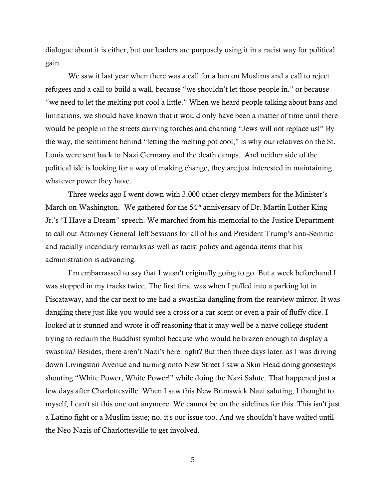dialogue about it is either, but our leaders are purposely using it in a racist way for political gain.

We saw it last year when there was a call for a ban on Muslims and a call to reject refugees and a call to build a wall, because "we shouldn't let those people in." or because "we need to let the melting pot cool a little." When we heard people talking about bans and limitations, we should have known that it would only have been a matter of time until there would be people in the streets carrying torches and chanting "Jews will not replace us!" By the way, the sentiment behind "letting the melting pot cool," is why our relatives on the St. Louis were sent back to Nazi Germany and the death camps. And neither side of the political isle is looking for a way of making change, they are just interested in maintaining whatever power they have.

Three weeks ago I went down with 3,000 other clergy members for the Minister's March on Washington. We gathered for the  $54<sup>th</sup>$  anniversary of Dr. Martin Luther King Jr.'s "I Have a Dream" speech. We marched from his memorial to the Justice Department to call out Attorney General Jeff Sessions for all of his and President Trump's anti-Semitic and racially incendiary remarks as well as racist policy and agenda items that his administration is advancing.

I'm embarrassed to say that I wasn't originally going to go. But a week beforehand I was stopped in my tracks twice. The first time was when I pulled into a parking lot in Piscataway, and the car next to me had a swastika dangling from the rearview mirror. It was dangling there just like you would see a cross or a car scent or even a pair of fluffy dice. I looked at it stunned and wrote it off reasoning that it may well be a naïve college student trying to reclaim the Buddhist symbol because who would be brazen enough to display a swastika? Besides, there aren't Nazi's here, right? But then three days later, as I was driving down Livingston Avenue and turning onto New Street I saw a Skin Head doing goosesteps shouting "White Power, White Power!" while doing the Nazi Salute. That happened just a few days after Charlottesville. When I saw this New Brunswick Nazi saluting, I thought to myself, I can't sit this one out anymore. We cannot be on the sidelines for this. This isn't just a Latino fight or a Muslim issue; no, it's our issue too. And we shouldn't have waited until the Neo-Nazis of Charlottesville to get involved.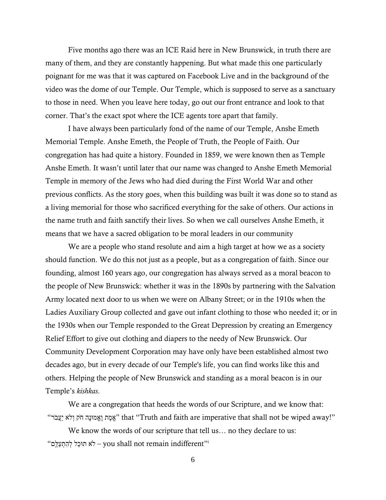Five months ago there was an ICE Raid here in New Brunswick, in truth there are many of them, and they are constantly happening. But what made this one particularly poignant for me was that it was captured on Facebook Live and in the background of the video was the dome of our Temple. Our Temple, which is supposed to serve as a sanctuary to those in need. When you leave here today, go out our front entrance and look to that corner. That's the exact spot where the ICE agents tore apart that family.

I have always been particularly fond of the name of our Temple, Anshe Emeth Memorial Temple. Anshe Emeth, the People of Truth, the People of Faith. Our congregation has had quite a history. Founded in 1859, we were known then as Temple Anshe Emeth. It wasn't until later that our name was changed to Anshe Emeth Memorial Temple in memory of the Jews who had died during the First World War and other previous conflicts. As the story goes, when this building was built it was done so to stand as a living memorial for those who sacrificed everything for the sake of others. Our actions in the name truth and faith sanctify their lives. So when we call ourselves Anshe Emeth, it means that we have a sacred obligation to be moral leaders in our community

We are a people who stand resolute and aim a high target at how we as a society should function. We do this not just as a people, but as a congregation of faith. Since our founding, almost 160 years ago, our congregation has always served as a moral beacon to the people of New Brunswick: whether it was in the 1890s by partnering with the Salvation Army located next door to us when we were on Albany Street; or in the 1910s when the Ladies Auxiliary Group collected and gave out infant clothing to those who needed it; or in the 1930s when our Temple responded to the Great Depression by creating an Emergency Relief Effort to give out clothing and diapers to the needy of New Brunswick. Our Community Development Corporation may have only have been established almost two decades ago, but in every decade of our Temple's life, you can find works like this and others. Helping the people of New Brunswick and standing as a moral beacon is in our Temple's *kishkas*.

We are a congregation that heeds the words of our Scripture, and we know that: "אֱמֶת וַאֱמּוּנָה חֹק וְלֹא יעֲבֹר" that "Truth and faith are imperative that shall not be wiped away!"

We know the words of our scripture that tell us... no they declare to us: i"i א תּוּכַל לְהָתְעַלֵּם - לְא תוּכַל לְהָתְעַלֵּם – יִלא הוּכַל לִ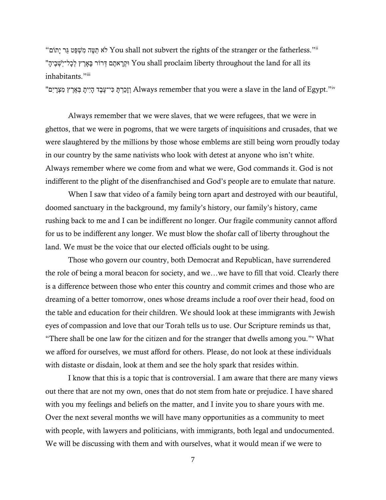"תוֹםָי ר גּ טַפְּשִׁמ הֶטַּת לאֹ You shall not subvert the rights of the stranger or the fatherless."ii its all for land the throughout liberty proclaim shall You וּקְרָ אתֶם דְּרוֹר בָָּארֶ ץ לְכָל־י ֵֹֽשְׁבֶיהָ" inhabitants."iii

"וְכַרְתָּ כִּי־עֶבֶד הָיִיתָ בְּאֶרֶץ מִצְרָיִם Always remember that you were a slave in the land of Egypt."

Always remember that we were slaves, that we were refugees, that we were in ghettos, that we were in pogroms, that we were targets of inquisitions and crusades, that we were slaughtered by the millions by those whose emblems are still being worn proudly today in our country by the same nativists who look with detest at anyone who isn't white. Always remember where we come from and what we were, God commands it. God is not indifferent to the plight of the disenfranchised and God's people are to emulate that nature.

When I saw that video of a family being torn apart and destroyed with our beautiful, doomed sanctuary in the background, my family's history, our family's history, came rushing back to me and I can be indifferent no longer. Our fragile community cannot afford for us to be indifferent any longer. We must blow the shofar call of liberty throughout the land. We must be the voice that our elected officials ought to be using.

Those who govern our country, both Democrat and Republican, have surrendered the role of being a moral beacon for society, and we…we have to fill that void. Clearly there is a difference between those who enter this country and commit crimes and those who are dreaming of a better tomorrow, ones whose dreams include a roof over their head, food on the table and education for their children. We should look at these immigrants with Jewish eyes of compassion and love that our Torah tells us to use. Our Scripture reminds us that, "There shall be one law for the citizen and for the stranger that dwells among you."<sup>v</sup> What we afford for ourselves, we must afford for others. Please, do not look at these individuals with distaste or disdain, look at them and see the holy spark that resides within.

I know that this is a topic that is controversial. I am aware that there are many views out there that are not my own, ones that do not stem from hate or prejudice. I have shared with you my feelings and beliefs on the matter, and I invite you to share yours with me. Over the next several months we will have many opportunities as a community to meet with people, with lawyers and politicians, with immigrants, both legal and undocumented. We will be discussing with them and with ourselves, what it would mean if we were to